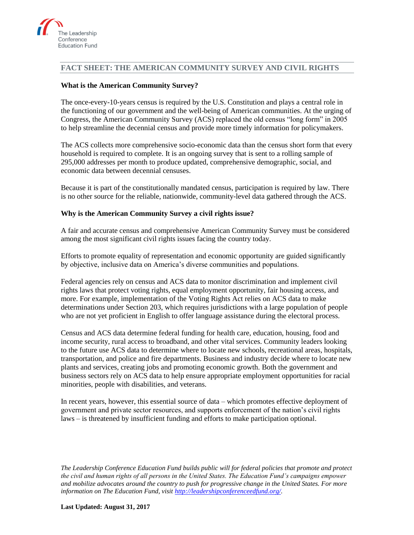

## **FACT SHEET: THE AMERICAN COMMUNITY SURVEY AND CIVIL RIGHTS**

## **What is the American Community Survey?**

The once-every-10-years census is required by the U.S. Constitution and plays a central role in the functioning of our government and the well-being of American communities. At the urging of Congress, the American Community Survey (ACS) replaced the old census "long form" in 2005 to help streamline the decennial census and provide more timely information for policymakers.

The ACS collects more comprehensive socio-economic data than the census short form that every household is required to complete. It is an ongoing survey that is sent to a rolling sample of 295,000 addresses per month to produce updated, comprehensive demographic, social, and economic data between decennial censuses.

Because it is part of the constitutionally mandated census, participation is required by law. There is no other source for the reliable, nationwide, community-level data gathered through the ACS.

#### **Why is the American Community Survey a civil rights issue?**

A fair and accurate census and comprehensive American Community Survey must be considered among the most significant civil rights issues facing the country today.

Efforts to promote equality of representation and economic opportunity are guided significantly by objective, inclusive data on America's diverse communities and populations.

Federal agencies rely on census and ACS data to monitor discrimination and implement civil rights laws that protect voting rights, equal employment opportunity, fair housing access, and more. For example, implementation of the Voting Rights Act relies on ACS data to make determinations under Section 203, which requires jurisdictions with a large population of people who are not yet proficient in English to offer language assistance during the electoral process.

Census and ACS data determine federal funding for health care, education, housing, food and income security, rural access to broadband, and other vital services. Community leaders looking to the future use ACS data to determine where to locate new schools, recreational areas, hospitals, transportation, and police and fire departments. Business and industry decide where to locate new plants and services, creating jobs and promoting economic growth. Both the government and business sectors rely on ACS data to help ensure appropriate employment opportunities for racial minorities, people with disabilities, and veterans.

In recent years, however, this essential source of data – which promotes effective deployment of government and private sector resources, and supports enforcement of the nation's civil rights laws – is threatened by insufficient funding and efforts to make participation optional.

*The Leadership Conference Education Fund builds public will for federal policies that promote and protect the civil and human rights of all persons in the United States. The Education Fund's campaigns empower and mobilize advocates around the country to push for progressive change in the United States. For more information on The Education Fund, visit [http://leadershipconferenceedfund.org/.](http://leadershipconferenceedfund.org/)*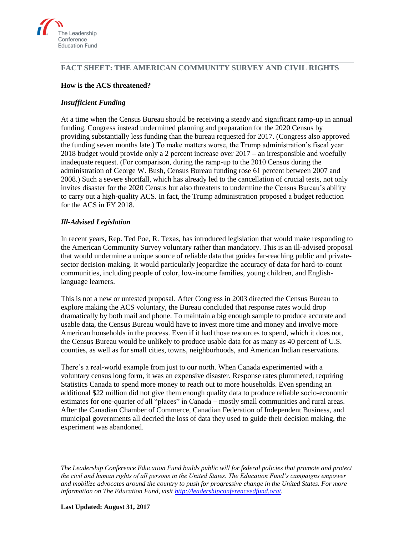

# **FACT SHEET: THE AMERICAN COMMUNITY SURVEY AND CIVIL RIGHTS**

## **How is the ACS threatened?**

#### *Insufficient Funding*

At a time when the Census Bureau should be receiving a steady and significant ramp-up in annual funding, Congress instead undermined planning and preparation for the 2020 Census by providing substantially less funding than the bureau requested for 2017. (Congress also approved the funding seven months late.) To make matters worse, the Trump administration's fiscal year 2018 budget would provide only a 2 percent increase over 2017 – an irresponsible and woefully inadequate request. (For comparison, during the ramp-up to the 2010 Census during the administration of George W. Bush, Census Bureau funding rose 61 percent between 2007 and 2008.) Such a severe shortfall, which has already led to the cancellation of crucial tests, not only invites disaster for the 2020 Census but also threatens to undermine the Census Bureau's ability to carry out a high-quality ACS. In fact, the Trump administration proposed a budget reduction for the ACS in FY 2018.

#### *Ill-Advised Legislation*

In recent years, Rep. Ted Poe, R. Texas, has introduced legislation that would make responding to the American Community Survey voluntary rather than mandatory. This is an ill-advised proposal that would undermine a unique source of reliable data that guides far-reaching public and privatesector decision-making. It would particularly jeopardize the accuracy of data for hard-to-count communities, including people of color, low-income families, young children, and Englishlanguage learners.

This is not a new or untested proposal. After Congress in 2003 directed the Census Bureau to explore making the ACS voluntary, the Bureau concluded that response rates would drop dramatically by both mail and phone. To maintain a big enough sample to produce accurate and usable data, the Census Bureau would have to invest more time and money and involve more American households in the process. Even if it had those resources to spend, which it does not, the Census Bureau would be unlikely to produce usable data for as many as 40 percent of U.S. counties, as well as for small cities, towns, neighborhoods, and American Indian reservations.

There's a real-world example from just to our north. When Canada experimented with a voluntary census long form, it was an expensive disaster. Response rates plummeted, requiring Statistics Canada to spend more money to reach out to more households. Even spending an additional \$22 million did not give them enough quality data to produce reliable socio-economic estimates for one-quarter of all "places" in Canada – mostly small communities and rural areas. After the Canadian Chamber of Commerce, Canadian Federation of Independent Business, and municipal governments all decried the loss of data they used to guide their decision making, the experiment was abandoned.

*The Leadership Conference Education Fund builds public will for federal policies that promote and protect the civil and human rights of all persons in the United States. The Education Fund's campaigns empower and mobilize advocates around the country to push for progressive change in the United States. For more information on The Education Fund, visit [http://leadershipconferenceedfund.org/.](http://leadershipconferenceedfund.org/)*